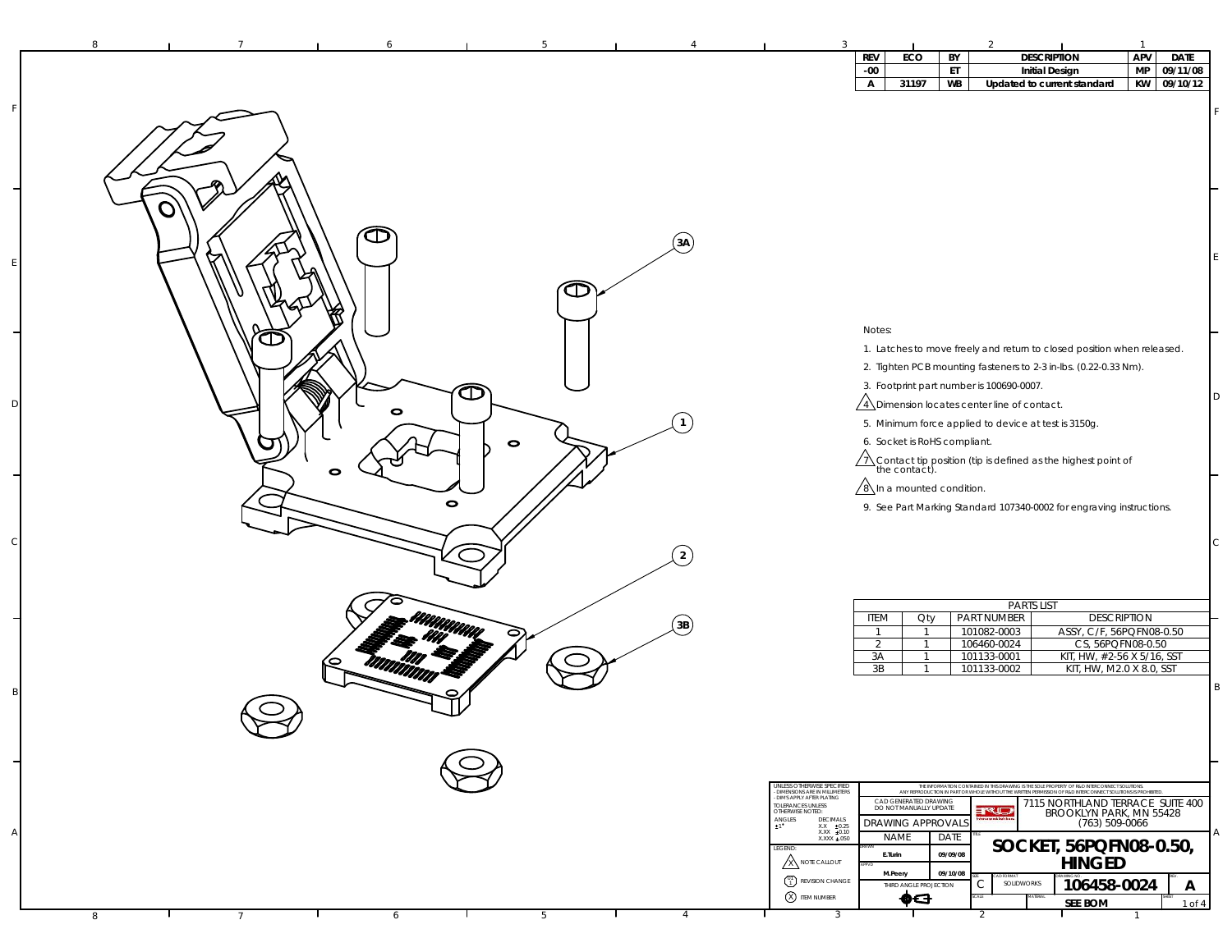| 8<br>-5.<br>6                       | $\overline{1}$                                                                                                                                                                                                                                                                                                                                                                                                                                                                                                                                                                                                                                                                   |
|-------------------------------------|----------------------------------------------------------------------------------------------------------------------------------------------------------------------------------------------------------------------------------------------------------------------------------------------------------------------------------------------------------------------------------------------------------------------------------------------------------------------------------------------------------------------------------------------------------------------------------------------------------------------------------------------------------------------------------|
|                                     | APV<br>ECO<br><b>DESCRIPTION</b><br><b>DATE</b><br><b>REV</b><br>BY<br>MP<br>$-00$<br>ET<br>09/11/08<br><b>Initial Design</b>                                                                                                                                                                                                                                                                                                                                                                                                                                                                                                                                                    |
|                                     | KW<br>09/10/12<br>31197<br><b>WB</b><br>А<br>Updated to current standard                                                                                                                                                                                                                                                                                                                                                                                                                                                                                                                                                                                                         |
|                                     |                                                                                                                                                                                                                                                                                                                                                                                                                                                                                                                                                                                                                                                                                  |
| O<br>☎<br>(3A)<br>$\bm{\mathbb{O}}$ |                                                                                                                                                                                                                                                                                                                                                                                                                                                                                                                                                                                                                                                                                  |
| CI :                                | Notes:                                                                                                                                                                                                                                                                                                                                                                                                                                                                                                                                                                                                                                                                           |
| Œ<br>0                              | 1. Latches to move freely and return to closed position when released.<br>2. Tighten PCB mounting fasteners to 2-3 in-lbs. (0.22-0.33 Nm).<br>3. Footprint part number is 100690-0007.<br>D<br>$\sqrt{4}$ Dimension locates center line of contact.<br>5. Minimum force applied to device at test is 3150g.                                                                                                                                                                                                                                                                                                                                                                      |
| $\bullet$<br>$\bullet$<br>$\bullet$ | 6. Socket is RoHS compliant.<br>$\sqrt{2}$ Contact tip position (tip is defined as the highest point of the contact).<br>$\sqrt{8}$ In a mounted condition.<br>9. See Part Marking Standard 107340-0002 for engraving instructions.                                                                                                                                                                                                                                                                                                                                                                                                                                              |
| $\overline{2}$                      | C                                                                                                                                                                                                                                                                                                                                                                                                                                                                                                                                                                                                                                                                                |
| (3B)<br>0                           | <b>PARTS LIST</b><br><b>PART NUMBER</b><br><b>DESCRIPTION</b><br>ITEM<br>Qty<br>ASSY, C/F, 56PQFN08-0.50<br>101082-0003<br>$\mathbf{1}$<br>-1<br>106460-0024<br>CS, 56PQFN08-0.50<br>2<br>$\overline{1}$<br>KIT, HW, #2-56 X 5/16, SST<br>3A<br>101133-0001<br>$\mathbf{1}$<br>KIT, HW, M2.0 X 8.0, SST<br>3B<br>101133-0002<br>B                                                                                                                                                                                                                                                                                                                                                |
|                                     |                                                                                                                                                                                                                                                                                                                                                                                                                                                                                                                                                                                                                                                                                  |
|                                     | UNLESS OTHERWISE SPECIFIED<br>THE INFORMATION CONTAINED IN THIS DRAWING IS THE SOLE PROPERTY OF R&D INTERCONNECT SOLUTIONS.<br>ANY REPRODUCTION IN PART OR WHOLE WITHOUT THE WRITEIN PERMISSION OF R&D INTERCONNECT SOLUTIONS IS PROHIBITED<br><b>DIMENSIONS ARE IN MILLIMETERS</b><br>- DIMS APPLY AFTER PLATING<br>CAD GENERATED DRAWING<br>7115 NORTHLAND TERRACE SUITE 400<br>TOLERANCES UNLESS<br>OTHERWISE NOTED:<br>DO NOT MANUALLY UPDATE<br>rud<br>BROOKLYN PARK, MN 55428<br>$\begin{array}{ll} \texttt{ANGLES} \\ \texttt{1} \end{array}$<br>DECIMALS<br><b>DRAWING APPROVAL</b><br>(763) 509-0066<br>XX ±0.25<br>XXX ±0.10<br>XXXX ±.050<br>Α<br><b>NAME</b><br>DATE |
|                                     | SOCKET, 56PQFN08-0.50,<br>HINGED<br>LEGEND:<br>09/09/08<br>E.Turin<br><b>X NOTE CALLOUT</b><br>09/10/08<br>M.Peery<br><sup>01</sup> REVISION CHANGE<br>106458-0024<br>C<br>SOLIDWORKS<br>$\mathsf{A}$<br>THIRD ANGLE PROJECTION<br><b>8</b> ITEM NUMBER<br>♦⋳<br><b>SEE BOM</b><br>1 of 4                                                                                                                                                                                                                                                                                                                                                                                        |
| 5<br>8<br>6<br>$\overline{7}$       | 3                                                                                                                                                                                                                                                                                                                                                                                                                                                                                                                                                                                                                                                                                |

F

E

D

C

B

A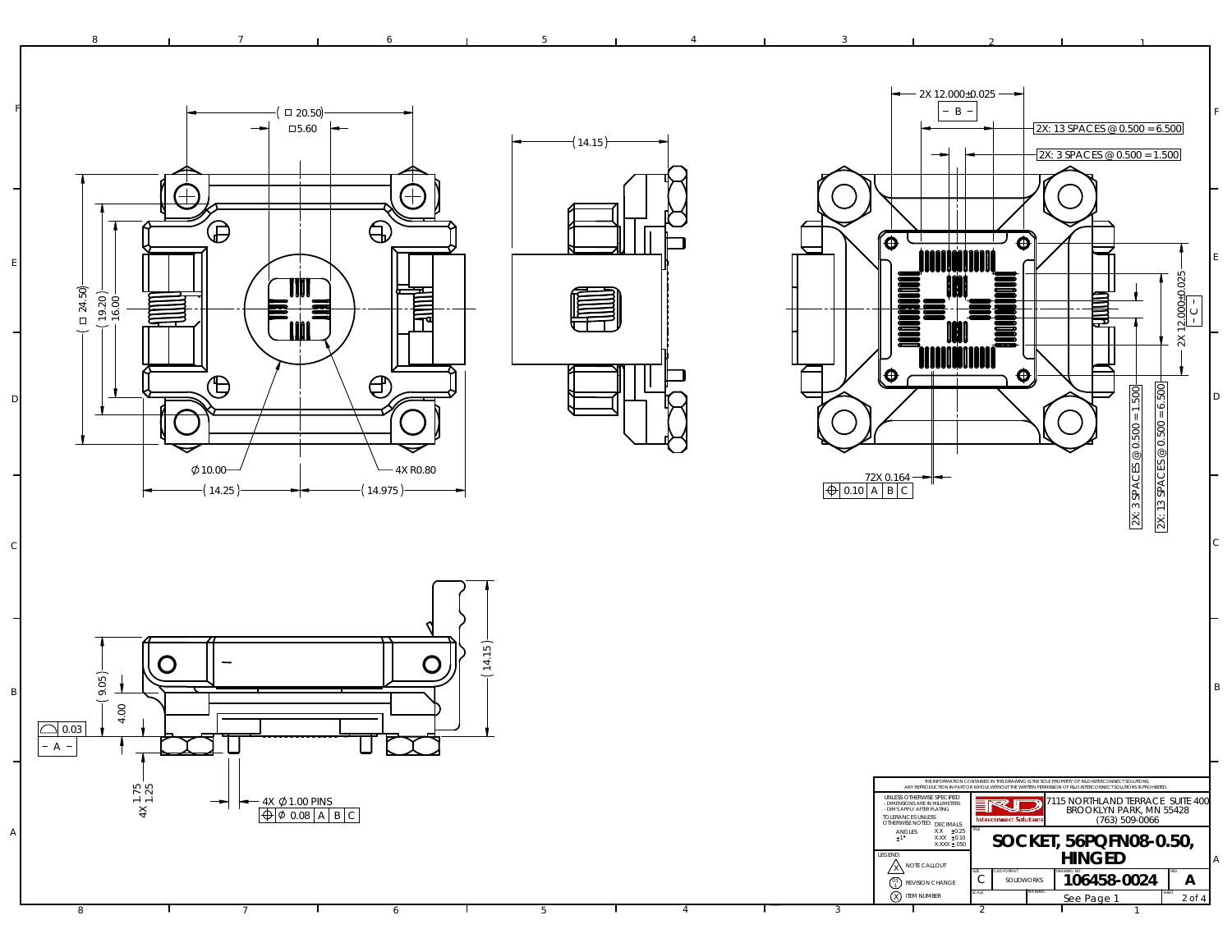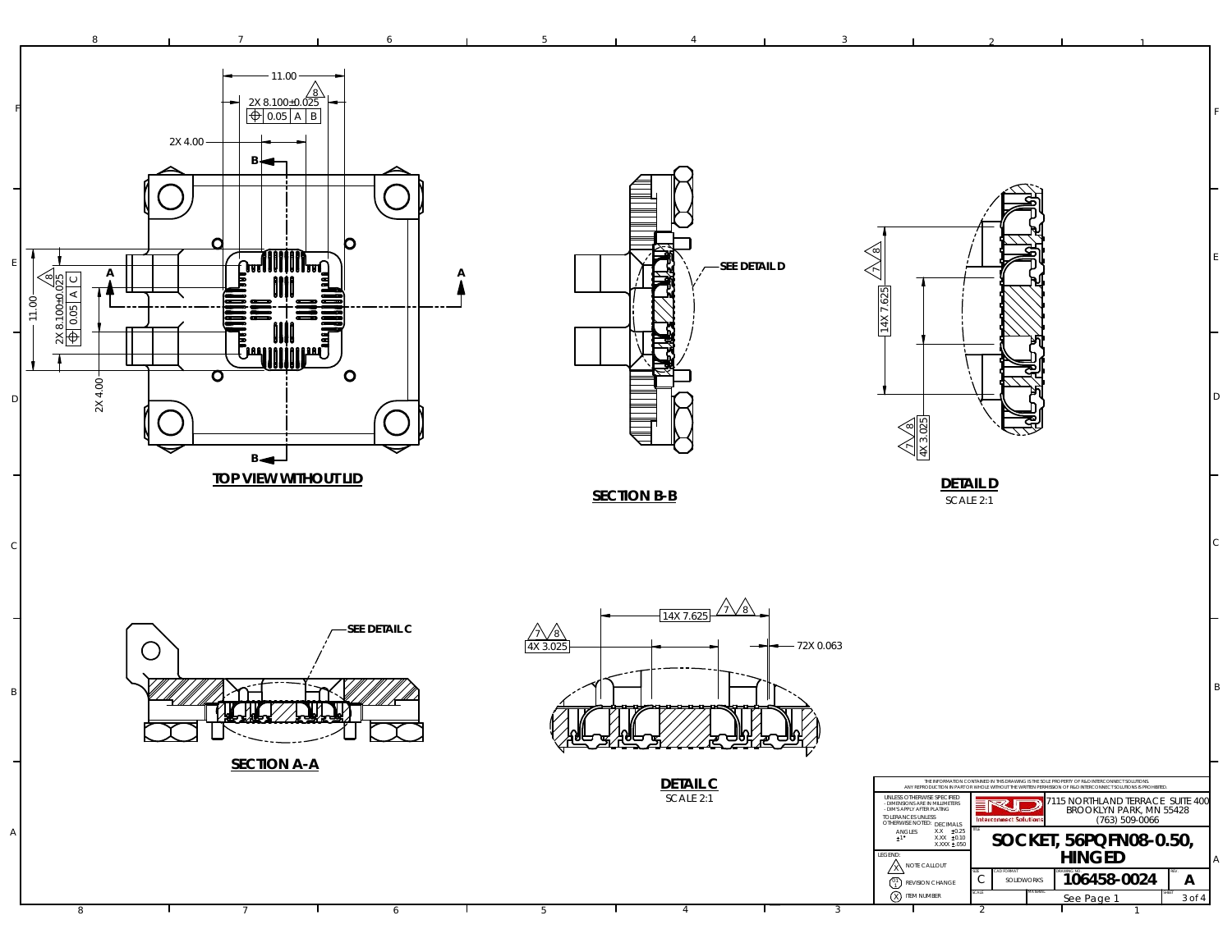